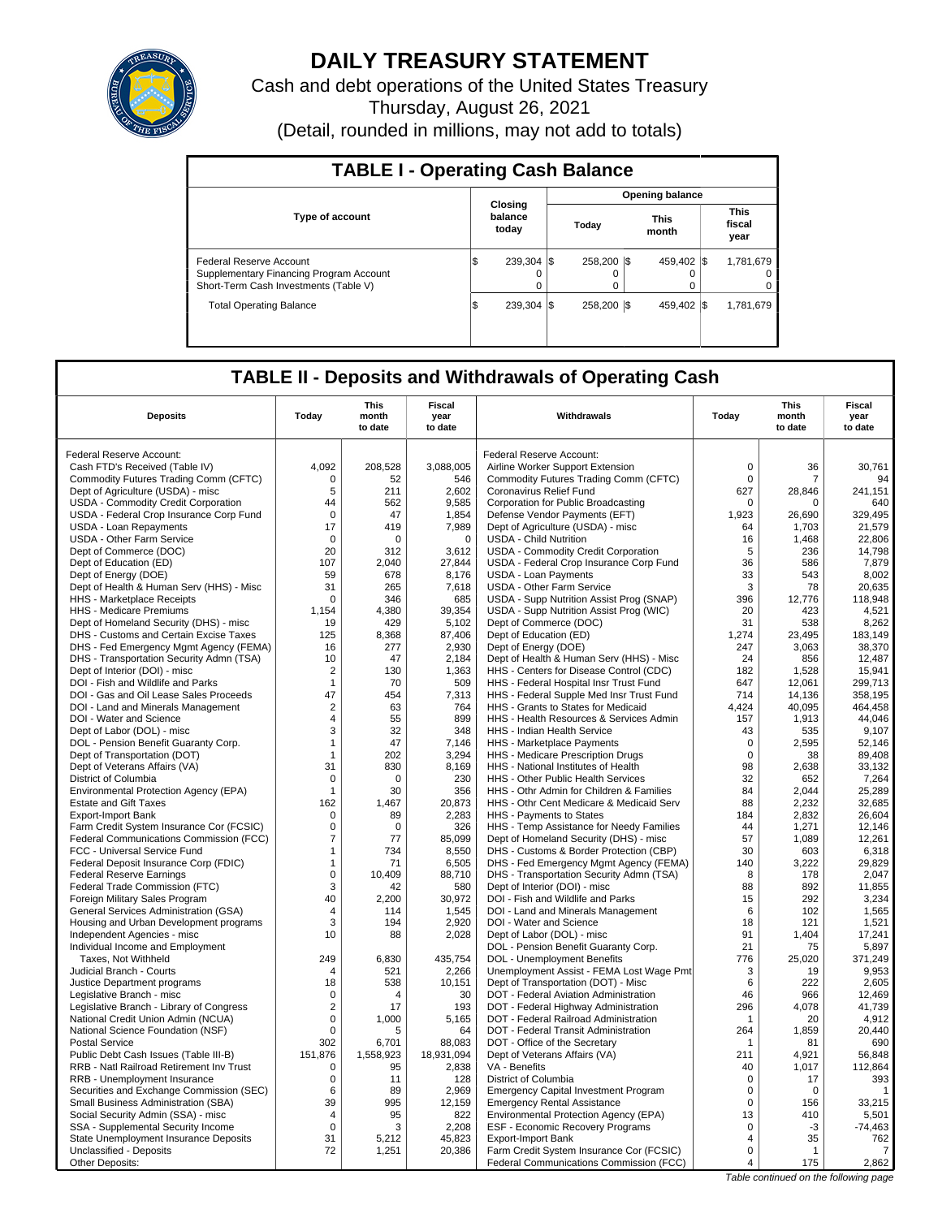

# **DAILY TREASURY STATEMENT**

Cash and debt operations of the United States Treasury Thursday, August 26, 2021 (Detail, rounded in millions, may not add to totals)

| <b>TABLE I - Operating Cash Balance</b>                                                                     |                             |                         |  |                        |                               |
|-------------------------------------------------------------------------------------------------------------|-----------------------------|-------------------------|--|------------------------|-------------------------------|
|                                                                                                             |                             |                         |  | <b>Opening balance</b> |                               |
| <b>Type of account</b>                                                                                      | Closing<br>balance<br>today | Today                   |  | <b>This</b><br>month   | <b>This</b><br>fiscal<br>year |
| Federal Reserve Account<br>Supplementary Financing Program Account<br>Short-Term Cash Investments (Table V) | 239.304 \\$<br>I\$<br>0     | 258,200 \\$<br>$\Omega$ |  | 459.402 \\$<br>0       | 1.781.679<br>$^{\circ}$<br>0  |
| <b>Total Operating Balance</b>                                                                              | 239.304 \\$<br>1\$          | 258,200 \\$             |  | 459.402 \\$            | 1,781,679                     |

## **TABLE II - Deposits and Withdrawals of Operating Cash**

| <b>Deposits</b>                                                       | Today           | This<br>month<br>to date | Fiscal<br>year<br>to date | Withdrawals                                                          | Today          | <b>This</b><br>month<br>to date | Fiscal<br>year<br>to date |
|-----------------------------------------------------------------------|-----------------|--------------------------|---------------------------|----------------------------------------------------------------------|----------------|---------------------------------|---------------------------|
| Federal Reserve Account:                                              |                 |                          |                           | Federal Reserve Account:                                             |                |                                 |                           |
| Cash FTD's Received (Table IV)                                        | 4.092           | 208,528                  | 3,088,005                 | Airline Worker Support Extension                                     | $\mathbf 0$    | 36                              | 30,761                    |
| Commodity Futures Trading Comm (CFTC)                                 | $\Omega$        | 52                       | 546                       | Commodity Futures Trading Comm (CFTC)                                | $\Omega$       | 7                               | 94                        |
| Dept of Agriculture (USDA) - misc                                     | 5               | 211                      | 2,602                     | Coronavirus Relief Fund                                              | 627            | 28,846                          | 241,151                   |
| USDA - Commodity Credit Corporation                                   | 44              | 562                      | 9,585                     | Corporation for Public Broadcasting                                  | $\Omega$       | $\Omega$                        | 640                       |
| USDA - Federal Crop Insurance Corp Fund                               | $\mathbf 0$     | 47                       | 1,854                     | Defense Vendor Payments (EFT)                                        | 1,923          | 26,690                          | 329,495                   |
| <b>USDA - Loan Repayments</b>                                         | 17              | 419                      | 7,989                     | Dept of Agriculture (USDA) - misc                                    | 64             | 1,703                           | 21,579                    |
| <b>USDA - Other Farm Service</b>                                      | $\mathbf 0$     | $\mathbf 0$              | $\mathbf 0$               | <b>USDA - Child Nutrition</b>                                        | 16             | 1,468                           | 22,806                    |
| Dept of Commerce (DOC)                                                | 20              | 312                      | 3,612                     | USDA - Commodity Credit Corporation                                  | 5              | 236                             | 14,798                    |
| Dept of Education (ED)                                                | 107             | 2,040                    | 27,844                    | USDA - Federal Crop Insurance Corp Fund                              | 36             | 586                             | 7,879                     |
| Dept of Energy (DOE)                                                  | 59              | 678                      | 8,176                     | <b>USDA - Loan Payments</b>                                          | 33             | 543                             | 8,002                     |
| Dept of Health & Human Serv (HHS) - Misc                              | 31              | 265                      | 7,618                     | <b>USDA - Other Farm Service</b>                                     | 3              | 78                              | 20,635                    |
| <b>HHS</b> - Marketplace Receipts                                     | 0               | 346                      | 685                       | USDA - Supp Nutrition Assist Prog (SNAP)                             | 396            | 12,776                          | 118,948                   |
| <b>HHS - Medicare Premiums</b>                                        | 1,154           | 4,380                    | 39,354                    | USDA - Supp Nutrition Assist Prog (WIC)                              | 20             | 423                             | 4,521                     |
| Dept of Homeland Security (DHS) - misc                                | 19              | 429                      | 5,102                     | Dept of Commerce (DOC)                                               | 31             | 538                             | 8,262                     |
| DHS - Customs and Certain Excise Taxes                                | 125             | 8,368                    | 87,406                    | Dept of Education (ED)                                               | 1,274          | 23,495                          | 183,149                   |
| DHS - Fed Emergency Mgmt Agency (FEMA)                                | 16              | 277                      | 2,930                     | Dept of Energy (DOE)                                                 | 247            | 3,063                           | 38,370                    |
| DHS - Transportation Security Admn (TSA)                              | 10              | 47                       | 2,184                     | Dept of Health & Human Serv (HHS) - Misc                             | 24             | 856                             | 12,487                    |
| Dept of Interior (DOI) - misc                                         | $\overline{2}$  | 130                      | 1,363                     | HHS - Centers for Disease Control (CDC)                              | 182            | 1,528                           | 15,941                    |
| DOI - Fish and Wildlife and Parks                                     | $\mathbf{1}$    | 70                       | 509                       | HHS - Federal Hospital Insr Trust Fund                               | 647            | 12,061                          | 299,713                   |
| DOI - Gas and Oil Lease Sales Proceeds                                | 47              | 454                      | 7,313                     | HHS - Federal Supple Med Insr Trust Fund                             | 714            | 14,136                          | 358,195                   |
| DOI - Land and Minerals Management                                    | $\overline{2}$  | 63                       | 764                       | HHS - Grants to States for Medicaid                                  | 4,424          | 40,095                          | 464,458                   |
| DOI - Water and Science                                               | 4               | 55                       | 899                       | HHS - Health Resources & Services Admin                              | 157            | 1,913                           | 44,046                    |
| Dept of Labor (DOL) - misc                                            | 3               | 32                       | 348                       | HHS - Indian Health Service                                          | 43             | 535                             | 9,107                     |
| DOL - Pension Benefit Guaranty Corp.                                  | $\mathbf{1}$    | 47                       | 7,146                     | HHS - Marketplace Payments                                           | $\mathbf 0$    | 2,595                           | 52,146                    |
| Dept of Transportation (DOT)                                          | 1               | 202                      | 3,294                     | HHS - Medicare Prescription Drugs                                    | $\Omega$       | 38                              | 89,408                    |
| Dept of Veterans Affairs (VA)                                         | 31              | 830                      | 8,169                     | HHS - National Institutes of Health                                  | 98             | 2,638                           | 33,132                    |
| District of Columbia                                                  | $\mathbf 0$     | $\mathbf 0$              | 230                       | HHS - Other Public Health Services                                   | 32             | 652                             | 7,264                     |
| Environmental Protection Agency (EPA)                                 | $\mathbf{1}$    | 30                       | 356                       | HHS - Othr Admin for Children & Families                             | 84             | 2,044                           | 25,289                    |
| <b>Estate and Gift Taxes</b>                                          | 162<br>$\Omega$ | 1,467                    | 20,873                    | HHS - Othr Cent Medicare & Medicaid Serv                             | 88             | 2,232                           | 32,685                    |
| <b>Export-Import Bank</b><br>Farm Credit System Insurance Cor (FCSIC) | $\mathbf 0$     | 89<br>0                  | 2,283<br>326              | HHS - Payments to States<br>HHS - Temp Assistance for Needy Families | 184<br>44      | 2,832<br>1,271                  | 26,604<br>12,146          |
| Federal Communications Commission (FCC)                               | 7               | 77                       | 85,099                    | Dept of Homeland Security (DHS) - misc                               | 57             | 1,089                           | 12,261                    |
| FCC - Universal Service Fund                                          | 1               | 734                      | 8.550                     | DHS - Customs & Border Protection (CBP)                              | 30             | 603                             | 6.318                     |
| Federal Deposit Insurance Corp (FDIC)                                 | 1               | 71                       | 6,505                     | DHS - Fed Emergency Mgmt Agency (FEMA)                               | 140            | 3,222                           | 29,829                    |
| <b>Federal Reserve Earnings</b>                                       | $\mathbf 0$     | 10,409                   | 88,710                    | DHS - Transportation Security Admn (TSA)                             | 8              | 178                             | 2,047                     |
| Federal Trade Commission (FTC)                                        | 3               | 42                       | 580                       | Dept of Interior (DOI) - misc                                        | 88             | 892                             | 11,855                    |
| Foreign Military Sales Program                                        | 40              | 2.200                    | 30,972                    | DOI - Fish and Wildlife and Parks                                    | 15             | 292                             | 3,234                     |
| General Services Administration (GSA)                                 | 4               | 114                      | 1,545                     | DOI - Land and Minerals Management                                   | 6              | 102                             | 1,565                     |
| Housing and Urban Development programs                                | 3               | 194                      | 2,920                     | DOI - Water and Science                                              | 18             | 121                             | 1,521                     |
| Independent Agencies - misc                                           | 10              | 88                       | 2,028                     | Dept of Labor (DOL) - misc                                           | 91             | 1,404                           | 17,241                    |
| Individual Income and Employment                                      |                 |                          |                           | DOL - Pension Benefit Guaranty Corp.                                 | 21             | 75                              | 5,897                     |
| Taxes, Not Withheld                                                   | 249             | 6,830                    | 435,754                   | DOL - Unemployment Benefits                                          | 776            | 25,020                          | 371,249                   |
| Judicial Branch - Courts                                              | $\overline{4}$  | 521                      | 2,266                     | Unemployment Assist - FEMA Lost Wage Pmt                             | 3              | 19                              | 9,953                     |
| Justice Department programs                                           | 18              | 538                      | 10,151                    | Dept of Transportation (DOT) - Misc                                  | 6              | 222                             | 2,605                     |
| Legislative Branch - misc                                             | $\mathbf 0$     | 4                        | 30                        | DOT - Federal Aviation Administration                                | 46             | 966                             | 12,469                    |
| Legislative Branch - Library of Congress                              | $\overline{2}$  | 17                       | 193                       | DOT - Federal Highway Administration                                 | 296            | 4,078                           | 41,739                    |
| National Credit Union Admin (NCUA)                                    | $\mathbf 0$     | 1.000                    | 5,165                     | DOT - Federal Railroad Administration                                | 1              | 20                              | 4,912                     |
| National Science Foundation (NSF)                                     | $\mathbf 0$     | 5                        | 64                        | DOT - Federal Transit Administration                                 | 264            | 1,859                           | 20,440                    |
| <b>Postal Service</b>                                                 | 302             | 6,701                    | 88,083                    | DOT - Office of the Secretary                                        | 1              | 81                              | 690                       |
| Public Debt Cash Issues (Table III-B)                                 | 151,876         | 1,558,923                | 18,931,094                | Dept of Veterans Affairs (VA)                                        | 211            | 4,921                           | 56,848                    |
| RRB - Natl Railroad Retirement Inv Trust                              | $\mathbf 0$     | 95                       | 2,838                     | VA - Benefits                                                        | 40             | 1,017                           | 112,864                   |
| RRB - Unemployment Insurance                                          | $\mathbf 0$     | 11                       | 128                       | District of Columbia                                                 | $\mathbf 0$    | 17                              | 393                       |
| Securities and Exchange Commission (SEC)                              | 6               | 89                       | 2,969                     | <b>Emergency Capital Investment Program</b>                          | $\mathbf 0$    | $\mathbf 0$                     | -1                        |
| Small Business Administration (SBA)                                   | 39              | 995                      | 12,159                    | <b>Emergency Rental Assistance</b>                                   | $\mathbf 0$    | 156                             | 33,215                    |
| Social Security Admin (SSA) - misc                                    | $\overline{4}$  | 95                       | 822                       | Environmental Protection Agency (EPA)                                | 13             | 410                             | 5,501                     |
| SSA - Supplemental Security Income                                    | $\Omega$        | 3                        | 2,208                     | ESF - Economic Recovery Programs                                     | $\Omega$       | $-3$                            | $-74,463$                 |
| State Unemployment Insurance Deposits                                 | 31              | 5,212                    | 45,823                    | <b>Export-Import Bank</b>                                            | $\overline{4}$ | 35                              | 762                       |
| Unclassified - Deposits                                               | 72              | 1,251                    | 20,386                    | Farm Credit System Insurance Cor (FCSIC)                             | $\mathbf 0$    | $\overline{1}$                  | $\overline{7}$            |
| Other Deposits:                                                       |                 |                          |                           | Federal Communications Commission (FCC)                              | 4              | 175                             | 2,862                     |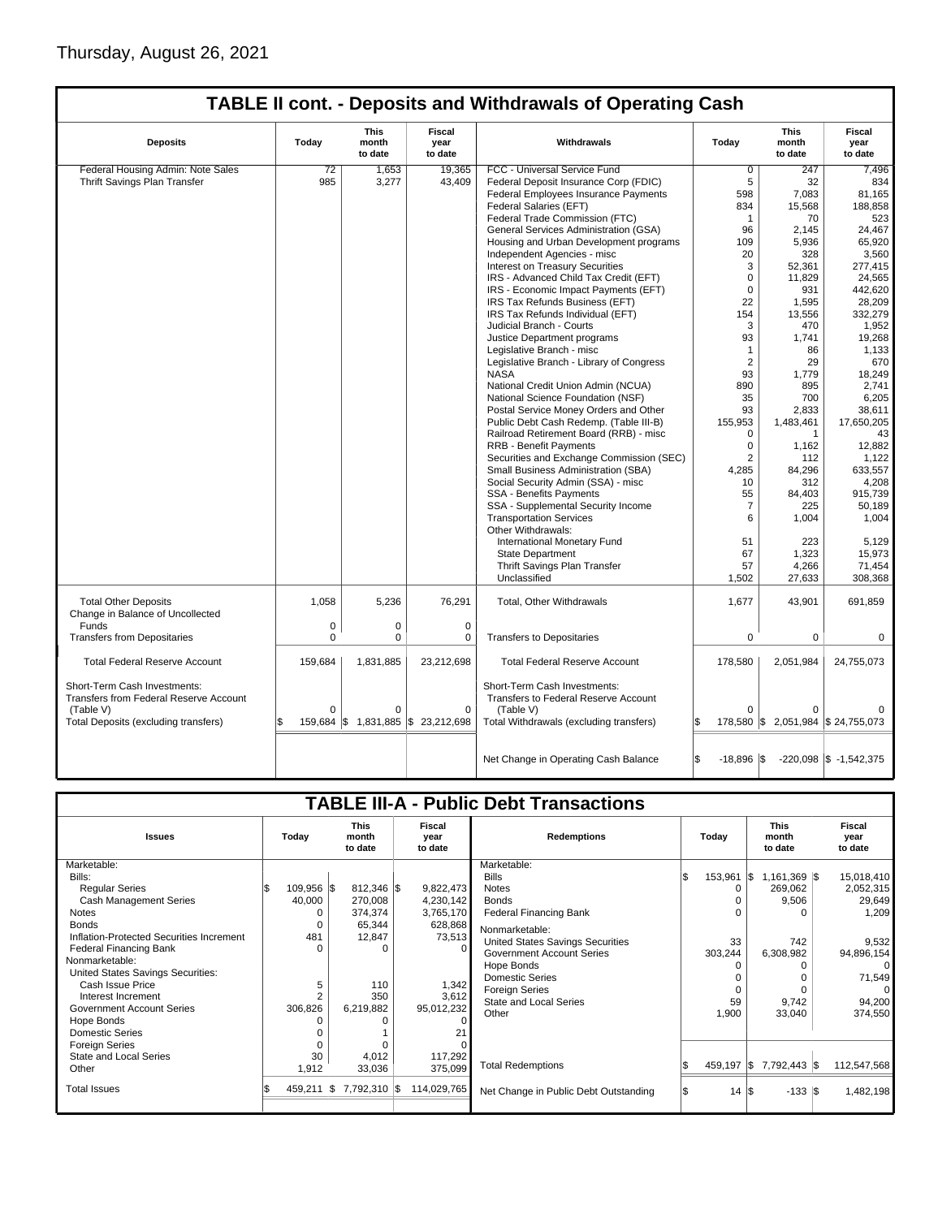|                                                                        |             |                          |                                  | <b>TABLE II cont. - Deposits and Withdrawals of Operating Cash</b>   |                      |                                  |                                    |
|------------------------------------------------------------------------|-------------|--------------------------|----------------------------------|----------------------------------------------------------------------|----------------------|----------------------------------|------------------------------------|
| <b>Deposits</b>                                                        | Today       | This<br>month<br>to date | Fiscal<br>year<br>to date        | Withdrawals                                                          | Today                | This<br>month<br>to date         | Fiscal<br>year<br>to date          |
| Federal Housing Admin: Note Sales                                      | 72          | 1,653                    | 19,365                           | FCC - Universal Service Fund                                         | $\overline{0}$       | 247                              | 7,496                              |
| Thrift Savings Plan Transfer                                           | 985         | 3,277                    | 43,409                           | Federal Deposit Insurance Corp (FDIC)                                | 5                    | 32                               | 834                                |
|                                                                        |             |                          |                                  | Federal Employees Insurance Payments                                 | 598                  | 7,083                            | 81,165                             |
|                                                                        |             |                          |                                  | Federal Salaries (EFT)                                               | 834                  | 15,568                           | 188,858                            |
|                                                                        |             |                          |                                  | Federal Trade Commission (FTC)                                       | 1                    | 70                               | 523                                |
|                                                                        |             |                          |                                  | General Services Administration (GSA)                                | 96                   | 2.145                            | 24.467                             |
|                                                                        |             |                          |                                  | Housing and Urban Development programs                               | 109                  | 5,936                            | 65,920                             |
|                                                                        |             |                          |                                  | Independent Agencies - misc                                          | 20                   | 328                              | 3,560                              |
|                                                                        |             |                          |                                  | Interest on Treasury Securities                                      | 3                    | 52,361                           | 277,415                            |
|                                                                        |             |                          |                                  | IRS - Advanced Child Tax Credit (EFT)                                | $\Omega$             | 11,829                           | 24,565                             |
|                                                                        |             |                          |                                  | IRS - Economic Impact Payments (EFT)                                 | $\mathbf 0$          | 931                              | 442,620                            |
|                                                                        |             |                          |                                  | IRS Tax Refunds Business (EFT)                                       | 22                   | 1,595                            | 28,209                             |
|                                                                        |             |                          |                                  | IRS Tax Refunds Individual (EFT)                                     | 154                  | 13,556                           | 332,279                            |
|                                                                        |             |                          |                                  | Judicial Branch - Courts                                             | 3                    | 470                              | 1,952                              |
|                                                                        |             |                          |                                  | Justice Department programs                                          | 93                   | 1,741                            | 19,268                             |
|                                                                        |             |                          |                                  | Legislative Branch - misc                                            | 1                    | 86                               | 1,133                              |
|                                                                        |             |                          |                                  | Legislative Branch - Library of Congress                             | $\overline{2}$       | 29                               | 670                                |
|                                                                        |             |                          |                                  | <b>NASA</b>                                                          | 93                   |                                  |                                    |
|                                                                        |             |                          |                                  |                                                                      |                      | 1,779                            | 18,249                             |
|                                                                        |             |                          |                                  | National Credit Union Admin (NCUA)                                   | 890<br>35            | 895<br>700                       | 2,741                              |
|                                                                        |             |                          |                                  | National Science Foundation (NSF)                                    |                      |                                  | 6,205                              |
|                                                                        |             |                          |                                  | Postal Service Money Orders and Other                                | 93                   | 2.833                            | 38,611                             |
|                                                                        |             |                          |                                  | Public Debt Cash Redemp. (Table III-B)                               | 155,953              | 1,483,461                        | 17,650,205                         |
|                                                                        |             |                          |                                  | Railroad Retirement Board (RRB) - misc                               | $\mathbf 0$          | $\mathbf{1}$                     | 43                                 |
|                                                                        |             |                          |                                  | <b>RRB - Benefit Payments</b>                                        | $\mathbf 0$          | 1,162                            | 12,882                             |
|                                                                        |             |                          |                                  | Securities and Exchange Commission (SEC)                             | $\overline{2}$       | 112                              | 1,122                              |
|                                                                        |             |                          |                                  | Small Business Administration (SBA)                                  | 4,285                | 84,296                           | 633,557                            |
|                                                                        |             |                          |                                  | Social Security Admin (SSA) - misc                                   | 10                   | 312                              | 4,208                              |
|                                                                        |             |                          |                                  | SSA - Benefits Payments                                              | 55                   | 84,403                           | 915,739                            |
|                                                                        |             |                          |                                  | SSA - Supplemental Security Income                                   | $\overline{7}$       | 225                              | 50,189                             |
|                                                                        |             |                          |                                  | <b>Transportation Services</b>                                       | 6                    | 1,004                            | 1,004                              |
|                                                                        |             |                          |                                  | Other Withdrawals:                                                   |                      |                                  |                                    |
|                                                                        |             |                          |                                  | International Monetary Fund                                          | 51                   | 223                              | 5,129                              |
|                                                                        |             |                          |                                  | <b>State Department</b>                                              | 67                   | 1,323                            | 15,973                             |
|                                                                        |             |                          |                                  | Thrift Savings Plan Transfer                                         | 57                   | 4,266                            | 71,454                             |
|                                                                        |             |                          |                                  | Unclassified                                                         | 1,502                | 27,633                           | 308,368                            |
| <b>Total Other Deposits</b><br>Change in Balance of Uncollected        | 1,058       | 5,236                    | 76,291                           | Total, Other Withdrawals                                             | 1,677                | 43,901                           | 691,859                            |
| Funds                                                                  | $\mathsf 0$ | 0                        | $\mathbf 0$                      |                                                                      |                      |                                  |                                    |
| <b>Transfers from Depositaries</b>                                     | $\Omega$    | $\Omega$                 | 0                                | <b>Transfers to Depositaries</b>                                     | $\Omega$             | $\Omega$                         | $\Omega$                           |
|                                                                        |             |                          |                                  |                                                                      |                      |                                  |                                    |
| <b>Total Federal Reserve Account</b>                                   | 159,684     | 1,831,885                | 23,212,698                       | <b>Total Federal Reserve Account</b>                                 | 178,580              | 2,051,984                        | 24,755,073                         |
| Short-Term Cash Investments:<br>Transfers from Federal Reserve Account |             |                          |                                  | Short-Term Cash Investments:<br>Transfers to Federal Reserve Account |                      |                                  |                                    |
| (Table V)                                                              | $\mathbf 0$ | $\Omega$                 | $\mathbf 0$                      | (Table V)                                                            | $\Omega$             | ŋ                                |                                    |
| Total Deposits (excluding transfers)                                   | IS.         |                          | 159,684 \$1,831,885 \$23,212,698 | Total Withdrawals (excluding transfers)                              | Ŝ.                   | 178,580 \$2,051,984 \$24,755,073 |                                    |
|                                                                        |             |                          |                                  |                                                                      | Ŝ.                   |                                  |                                    |
|                                                                        |             |                          |                                  | Net Change in Operating Cash Balance                                 | $-18,896$ $\sqrt{5}$ |                                  | $-220,098$ $\vert 1,542,375 \vert$ |

|                                          |                                          |     |                           |  |                    | <b>TABLE III-A - Public Debt Transactions</b> |  |                                 |  |                           |             |
|------------------------------------------|------------------------------------------|-----|---------------------------|--|--------------------|-----------------------------------------------|--|---------------------------------|--|---------------------------|-------------|
| <b>Issues</b>                            | <b>This</b><br>Today<br>month<br>to date |     | Fiscal<br>vear<br>to date |  | <b>Redemptions</b> |                                               |  | <b>This</b><br>month<br>to date |  | Fiscal<br>vear<br>to date |             |
| Marketable:                              |                                          |     |                           |  |                    | Marketable:                                   |  |                                 |  |                           |             |
| Bills:                                   |                                          |     |                           |  |                    | <b>Bills</b>                                  |  | 153,961 \$                      |  | $1,161,369$ $\sqrt{5}$    | 15,018,410  |
| <b>Regular Series</b>                    | 109,956 \$                               |     | 812,346 \$                |  | 9,822,473          | <b>Notes</b>                                  |  | $\Omega$                        |  | 269,062                   | 2,052,315   |
| <b>Cash Management Series</b>            | 40,000                                   |     | 270,008                   |  | 4,230,142          | <b>Bonds</b>                                  |  |                                 |  | 9,506                     | 29,649      |
| <b>Notes</b>                             |                                          |     | 374,374                   |  | 3,765,170          | <b>Federal Financing Bank</b>                 |  |                                 |  |                           | 1,209       |
| <b>Bonds</b>                             |                                          |     | 65.344                    |  | 628,868            | Nonmarketable:                                |  |                                 |  |                           |             |
| Inflation-Protected Securities Increment | 481                                      |     | 12,847                    |  | 73,513             | United States Savings Securities              |  | 33                              |  | 742                       | 9,532       |
| Federal Financing Bank                   |                                          |     | ŋ                         |  | $\Omega$           | <b>Government Account Series</b>              |  | 303,244                         |  | 6,308,982                 | 94,896,154  |
| Nonmarketable:                           |                                          |     |                           |  |                    | Hope Bonds                                    |  |                                 |  |                           |             |
| United States Savings Securities:        |                                          |     |                           |  |                    | <b>Domestic Series</b>                        |  |                                 |  |                           | 71,549      |
| Cash Issue Price                         | 5                                        |     | 110                       |  | 1,342              | <b>Foreign Series</b>                         |  |                                 |  |                           |             |
| Interest Increment                       |                                          |     | 350                       |  | 3,612              | <b>State and Local Series</b>                 |  | 59                              |  | 9,742                     | 94,200      |
| <b>Government Account Series</b>         | 306,826                                  |     | 6,219,882                 |  | 95,012,232         | Other                                         |  | 1,900                           |  | 33,040                    | 374,550     |
| Hope Bonds                               |                                          |     |                           |  | n                  |                                               |  |                                 |  |                           |             |
| <b>Domestic Series</b>                   |                                          |     |                           |  |                    |                                               |  |                                 |  |                           |             |
| <b>Foreign Series</b>                    |                                          |     |                           |  |                    |                                               |  |                                 |  |                           |             |
| State and Local Series                   | 30                                       |     | 4,012                     |  | 117,292            |                                               |  |                                 |  |                           |             |
| Other                                    | 1,912                                    |     | 33,036                    |  | 375,099            | <b>Total Redemptions</b>                      |  | 459,197 \$                      |  | 7,792,443                 | 112,547,568 |
| <b>Total Issues</b>                      | 459,211                                  | l\$ | 7,792,310 \$              |  | 114,029,765        | Net Change in Public Debt Outstanding         |  | $14 \text{ }  $ \$              |  | $-133$ $\sqrt{3}$         | 1,482,198   |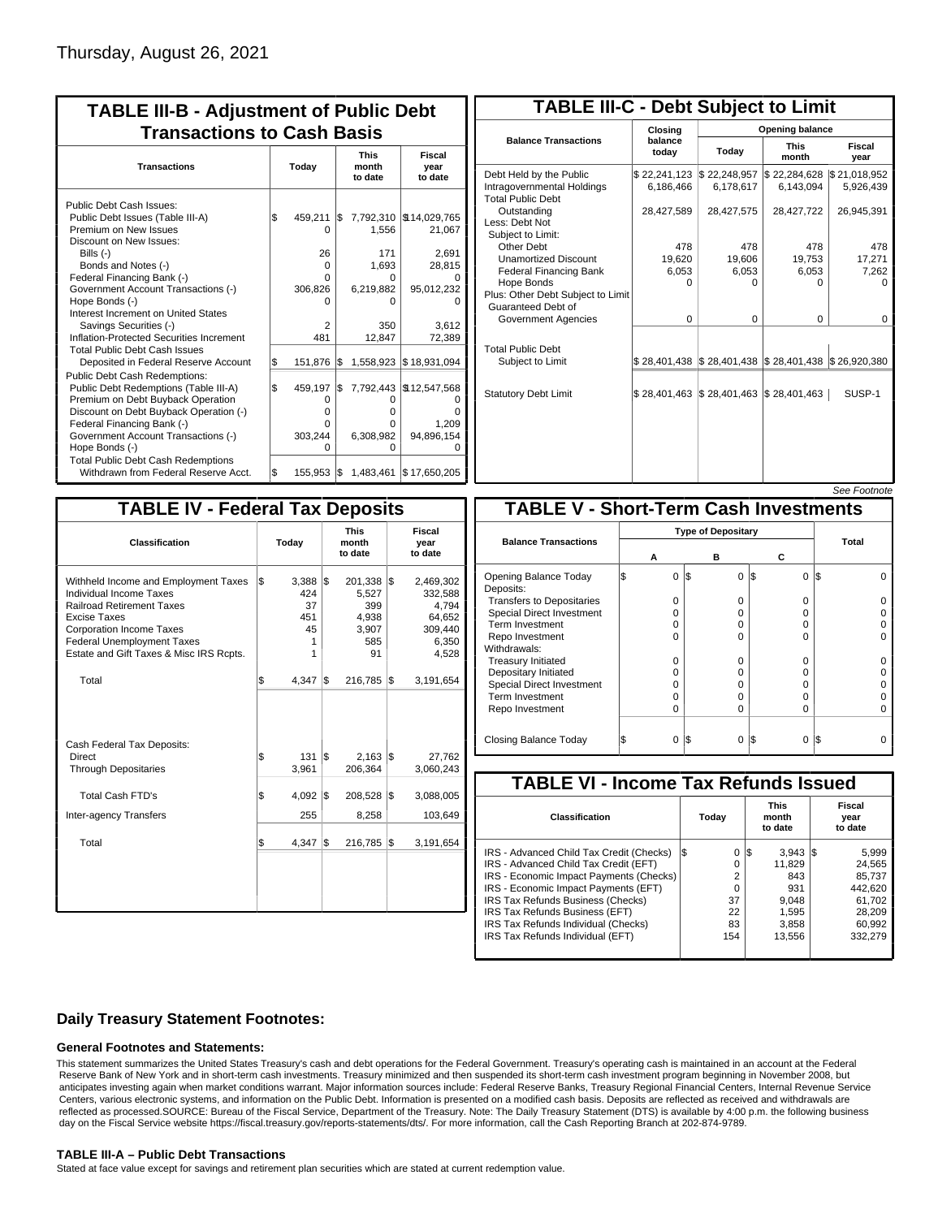| <b>TABLE III-B - Adjustment of Public Debt</b><br><b>Transactions to Cash Basis</b>                                                                                                                                                                                                                                                                                                                |     |                                                                 |     |                                                               |                                                                                        |  |  |  |  |  |  |
|----------------------------------------------------------------------------------------------------------------------------------------------------------------------------------------------------------------------------------------------------------------------------------------------------------------------------------------------------------------------------------------------------|-----|-----------------------------------------------------------------|-----|---------------------------------------------------------------|----------------------------------------------------------------------------------------|--|--|--|--|--|--|
| <b>Transactions</b>                                                                                                                                                                                                                                                                                                                                                                                |     | Today                                                           |     | <b>This</b><br>month<br>to date                               | <b>Fiscal</b><br>year<br>to date                                                       |  |  |  |  |  |  |
| Public Debt Cash Issues:<br>Public Debt Issues (Table III-A)<br>Premium on New Issues<br>Discount on New Issues:<br>Bills $(-)$<br>Bonds and Notes (-)<br>Federal Financing Bank (-)<br>Government Account Transactions (-)<br>Hope Bonds (-)<br>Interest Increment on United States<br>Savings Securities (-)<br>Inflation-Protected Securities Increment<br><b>Total Public Debt Cash Issues</b> | \$  | 459.211<br>0<br>26<br>$\Omega$<br>0<br>306,826<br>n<br>2<br>481 | I\$ | 1,556<br>171<br>1.693<br>0<br>6,219,882<br>ი<br>350<br>12,847 | 7,792,310   \$14,029,765<br>21,067<br>2,691<br>28,815<br>95,012,232<br>3.612<br>72,389 |  |  |  |  |  |  |
| Deposited in Federal Reserve Account                                                                                                                                                                                                                                                                                                                                                               | S.  | 151,876                                                         | l\$ |                                                               | 1,558,923 \$18,931,094                                                                 |  |  |  |  |  |  |
| <b>Public Debt Cash Redemptions:</b><br>Public Debt Redemptions (Table III-A)<br>Premium on Debt Buyback Operation<br>Discount on Debt Buyback Operation (-)<br>Federal Financing Bank (-)<br>Government Account Transactions (-)<br>Hope Bonds (-)<br><b>Total Public Debt Cash Redemptions</b>                                                                                                   | l\$ | 459,197<br>0<br>o<br>U<br>303,244<br>ი                          | I\$ | O<br>o<br>o<br>6,308,982<br>ŋ                                 | 7,792,443   \$12,547,568<br>1,209<br>94,896,154                                        |  |  |  |  |  |  |
| Withdrawn from Federal Reserve Acct.                                                                                                                                                                                                                                                                                                                                                               | \$  | $155,953$ $\sqrt{5}$                                            |     | 1,483,461                                                     | \$17,650,205                                                                           |  |  |  |  |  |  |

| <b>TABLE III-C - Debt Subject to Limit</b>                                        |                             |                                                                                                     |                           |                           |  |  |  |  |  |  |  |
|-----------------------------------------------------------------------------------|-----------------------------|-----------------------------------------------------------------------------------------------------|---------------------------|---------------------------|--|--|--|--|--|--|--|
|                                                                                   | Closing                     | Opening balance                                                                                     |                           |                           |  |  |  |  |  |  |  |
| <b>Balance Transactions</b>                                                       | balance<br>todav            | Today                                                                                               |                           | Fiscal<br>year            |  |  |  |  |  |  |  |
| Debt Held by the Public<br>Intragovernmental Holdings<br><b>Total Public Debt</b> | \$22,241,123<br>6,186,466   | \$22,248,957<br>6,178,617                                                                           | \$22,284,628<br>6,143,094 | \$21,018,952<br>5,926,439 |  |  |  |  |  |  |  |
| Outstanding<br>Less: Debt Not<br>Subject to Limit:                                | 28,427,589                  | 28,427,575                                                                                          | 28,427,722                | 26,945,391                |  |  |  |  |  |  |  |
| Other Debt                                                                        | 478                         | 478                                                                                                 | 478                       | 478                       |  |  |  |  |  |  |  |
| <b>Unamortized Discount</b>                                                       | 19,620                      | 19,606                                                                                              | 19,753                    | 17,271                    |  |  |  |  |  |  |  |
| <b>Federal Financing Bank</b>                                                     | 6,053                       | 6,053                                                                                               | 6,053                     | 7,262                     |  |  |  |  |  |  |  |
| Hope Bonds<br>Plus: Other Debt Subject to Limit<br>Guaranteed Debt of             | $\Omega$                    | $\Omega$                                                                                            | O                         | n                         |  |  |  |  |  |  |  |
| Government Agencies                                                               | $\Omega$                    | $\Omega$                                                                                            | $\Omega$                  | $\Omega$                  |  |  |  |  |  |  |  |
| <b>Total Public Debt</b><br>Subject to Limit                                      |                             | $\frac{1}{2}$ 28,401,438 $\frac{1}{2}$ 28,401,438 $\frac{1}{2}$ 28,401,438 $\frac{1}{2}$ 26,920,380 |                           |                           |  |  |  |  |  |  |  |
| <b>Statutory Debt Limit</b>                                                       | $$28,401,463$ $$28,401,463$ |                                                                                                     | $\$28,401,463$            | SUSP-1                    |  |  |  |  |  |  |  |
|                                                                                   |                             |                                                                                                     |                           |                           |  |  |  |  |  |  |  |

|--|

| <b>TABLE IV - Federal Tax Deposits</b>                                                                                                                                                                                                 |                                                      |                                                             |                                                                      |
|----------------------------------------------------------------------------------------------------------------------------------------------------------------------------------------------------------------------------------------|------------------------------------------------------|-------------------------------------------------------------|----------------------------------------------------------------------|
| Classification                                                                                                                                                                                                                         | Today                                                | <b>This</b><br>month<br>to date                             | Fiscal<br>year<br>to date                                            |
| Withheld Income and Employment Taxes<br>Individual Income Taxes<br><b>Railroad Retirement Taxes</b><br>Excise Taxes<br><b>Corporation Income Taxes</b><br><b>Federal Unemployment Taxes</b><br>Estate and Gift Taxes & Misc IRS Rcpts. | \$<br>$3,388$ \$<br>424<br>37<br>451<br>45<br>1<br>1 | $201,338$ \$<br>5,527<br>399<br>4.938<br>3,907<br>585<br>91 | 2,469,302<br>332,588<br>4,794<br>64,652<br>309,440<br>6,350<br>4,528 |
| Total                                                                                                                                                                                                                                  | \$<br>4,347                                          | 1\$<br>216,785                                              | 1\$<br>3,191,654                                                     |
| Cash Federal Tax Deposits:<br><b>Direct</b><br><b>Through Depositaries</b>                                                                                                                                                             | \$<br>131<br>3,961                                   | l\$<br>$2,163$ $\sqrt{3}$<br>206,364                        | 27,762<br>3,060,243                                                  |
| <b>Total Cash FTD's</b>                                                                                                                                                                                                                | <b>S</b><br>4,092                                    | 1\$<br>208,528                                              | 1\$<br>3,088,005                                                     |
| <b>Inter-agency Transfers</b>                                                                                                                                                                                                          | 255                                                  | 8,258                                                       | 103,649                                                              |
| Total                                                                                                                                                                                                                                  | l\$<br>4,347                                         | 1\$<br>216,785                                              | 1\$<br>3,191,654                                                     |
|                                                                                                                                                                                                                                        |                                                      |                                                             |                                                                      |

|                                              |   |   |     |          |     |   | <i><b>JEE FUULIUIE</b></i> |  |  |  |  |
|----------------------------------------------|---|---|-----|----------|-----|---|----------------------------|--|--|--|--|
| <b>TABLE V - Short-Term Cash Investments</b> |   |   |     |          |     |   |                            |  |  |  |  |
|                                              |   |   |     |          |     |   |                            |  |  |  |  |
| <b>Balance Transactions</b>                  |   | А |     | в        | С   |   | <b>Total</b>               |  |  |  |  |
| Opening Balance Today<br>Deposits:           | S | 0 | 1\$ | $\Omega$ | I\$ | 0 | l\$                        |  |  |  |  |
| <b>Transfers to Depositaries</b>             |   | O |     | 0        |     | 0 |                            |  |  |  |  |
| <b>Special Direct Investment</b>             |   | O |     | 0        |     | 0 |                            |  |  |  |  |
| Term Investment                              |   | O |     | 0        |     | 0 |                            |  |  |  |  |
| Repo Investment                              |   | O |     | $\Omega$ |     | 0 |                            |  |  |  |  |
| Withdrawals:                                 |   |   |     |          |     |   |                            |  |  |  |  |
| <b>Treasury Initiated</b>                    |   | O |     | 0        |     | O |                            |  |  |  |  |
| Depositary Initiated                         |   | O |     | 0        |     | 0 |                            |  |  |  |  |
| <b>Special Direct Investment</b>             |   | Ω |     | 0        |     | 0 |                            |  |  |  |  |
| <b>Term Investment</b>                       |   | O |     | 0        |     | O |                            |  |  |  |  |
| Repo Investment                              |   | O |     | 0        |     | 0 |                            |  |  |  |  |
| Closing Balance Today                        |   | 0 | l\$ | 0        | I\$ | 0 | I\$                        |  |  |  |  |

| <b>TABLE VI - Income Tax Refunds Issued</b> |     |          |    |                                 |  |                           |  |  |  |  |  |
|---------------------------------------------|-----|----------|----|---------------------------------|--|---------------------------|--|--|--|--|--|
| Classification                              |     | Today    |    | <b>This</b><br>month<br>to date |  | Fiscal<br>year<br>to date |  |  |  |  |  |
| IRS - Advanced Child Tax Credit (Checks)    | l\$ | 0        | 13 | $3.943$ $\frac{1}{3}$           |  | 5,999                     |  |  |  |  |  |
| IRS - Advanced Child Tax Credit (EFT)       |     | 0        |    | 11.829                          |  | 24,565                    |  |  |  |  |  |
| IRS - Economic Impact Payments (Checks)     |     | 2        |    | 843                             |  | 85.737                    |  |  |  |  |  |
| IRS - Economic Impact Payments (EFT)        |     | $\Omega$ |    | 931                             |  | 442.620                   |  |  |  |  |  |
| IRS Tax Refunds Business (Checks)           |     | 37       |    | 9.048                           |  | 61.702                    |  |  |  |  |  |
| IRS Tax Refunds Business (EFT)              |     | 22       |    | 1.595                           |  | 28.209                    |  |  |  |  |  |
| IRS Tax Refunds Individual (Checks)         |     | 83       |    | 3,858                           |  | 60.992                    |  |  |  |  |  |
| IRS Tax Refunds Individual (EFT)            |     | 154      |    | 13,556                          |  | 332,279                   |  |  |  |  |  |

### **Daily Treasury Statement Footnotes:**

#### **General Footnotes and Statements:**

This statement summarizes the United States Treasury's cash and debt operations for the Federal Government. Treasury's operating cash is maintained in an account at the Federal Reserve Bank of New York and in short-term cash investments. Treasury minimized and then suspended its short-term cash investment program beginning in November 2008, but anticipates investing again when market conditions warrant. Major information sources include: Federal Reserve Banks, Treasury Regional Financial Centers, Internal Revenue Service Centers, various electronic systems, and information on the Public Debt. Information is presented on a modified cash basis. Deposits are reflected as received and withdrawals are reflected as processed.SOURCE: Bureau of the Fiscal Service, Department of the Treasury. Note: The Daily Treasury Statement (DTS) is available by 4:00 p.m. the following business day on the Fiscal Service website https://fiscal.treasury.gov/reports-statements/dts/. For more information, call the Cash Reporting Branch at 202-874-9789.

#### **TABLE III-A – Public Debt Transactions**

Stated at face value except for savings and retirement plan securities which are stated at current redemption value.